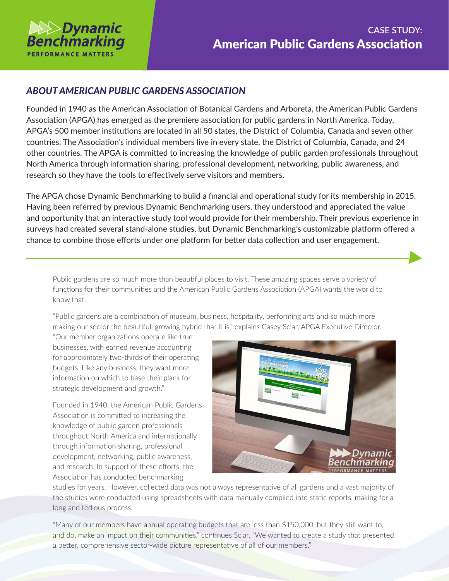

## *ABOUT AMERICAN PUBLIC GARDENS ASSOCIATION*

Founded in 1940 as the American Association of Botanical Gardens and Arboreta, the American Public Gardens Association (APGA) has emerged as the premiere association for public gardens in North America. Today, APGA's 500 member institutions are located in all 50 states, the District of Columbia, Canada and seven other countries. The Association's individual members live in every state, the District of Columbia, Canada, and 24 other countries. The APGA is committed to increasing the knowledge of public garden professionals throughout North America through information sharing, professional development, networking, public awareness, and research so they have the tools to effectively serve visitors and members.

The APGA chose Dynamic Benchmarking to build a financial and operational study for its membership in 2015. Having been referred by previous Dynamic Benchmarking users, they understood and appreciated the value and opportunity that an interactive study tool would provide for their membership. Their previous experience in surveys had created several stand-alone studies, but Dynamic Benchmarking's customizable platform offered a chance to combine those efforts under one platform for better data collection and user engagement.

Public gardens are so much more than beautiful places to visit. These amazing spaces serve a variety of functions for their communities and the American Public Gardens Association (APGA) wants the world to know that.

"Public gardens are a combination of museum, business, hospitality, performing arts and so much more making our sector the beautiful, growing hybrid that it is," explains Casey Sclar, APGA Executive Director.

"Our member organizations operate like true businesses, with earned revenue accounting for approximately two-thirds of their operating budgets. Like any business, they want more information on which to base their plans for strategic development and growth."

Founded in 1940, the American Public Gardens Association is committed to increasing the knowledge of public garden professionals throughout North America and internationally through information sharing, professional development, networking, public awareness, and research. In support of these efforts, the Association has conducted benchmarking



studies for years. However, collected data was not always representative of all gardens and a vast majority of the studies were conducted using spreadsheets with data manually compiled into static reports, making for a long and tedious process.

"Many of our members have annual operating budgets that are less than \$150,000, but they still want to, and do, make an impact on their communities," continues Sclar. "We wanted to create a study that presented a better, comprehensive sector-wide picture representative of all of our members."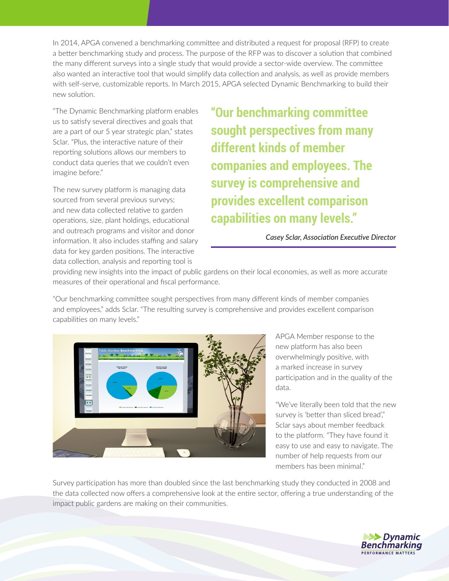In 2014, APGA convened a benchmarking committee and distributed a request for proposal (RFP) to create a better benchmarking study and process. The purpose of the RFP was to discover a solution that combined the many different surveys into a single study that would provide a sector-wide overview. The committee also wanted an interactive tool that would simplify data collection and analysis, as well as provide members with self-serve, customizable reports. In March 2015, APGA selected Dynamic Benchmarking to build their new solution.

"The Dynamic Benchmarking platform enables us to satisfy several directives and goals that are a part of our 5 year strategic plan," states Sclar. "Plus, the interactive nature of their reporting solutions allows our members to conduct data queries that we couldn't even imagine before."

The new survey platform is managing data sourced from several previous surveys; and new data collected relative to garden operations, size, plant holdings, educational and outreach programs and visitor and donor information. It also includes staffing and salary data for key garden positions. The interactive data collection, analysis and reporting tool is

**"Our benchmarking committee sought perspectives from many different kinds of member companies and employees. The survey is comprehensive and provides excellent comparison capabilities on many levels."**

## *Casey Sclar, Association Executive Director*

providing new insights into the impact of public gardens on their local economies, as well as more accurate measures of their operational and fiscal performance.

"Our benchmarking committee sought perspectives from many different kinds of member companies and employees," adds Sclar. "The resulting survey is comprehensive and provides excellent comparison capabilities on many levels."



APGA Member response to the new platform has also been overwhelmingly positive, with a marked increase in survey participation and in the quality of the data.

"We've literally been told that the new survey is 'better than sliced bread'," Sclar says about member feedback to the platform. "They have found it easy to use and easy to navigate. The number of help requests from our members has been minimal."

Survey participation has more than doubled since the last benchmarking study they conducted in 2008 and the data collected now offers a comprehensive look at the entire sector, offering a true understanding of the impact public gardens are making on their communities.